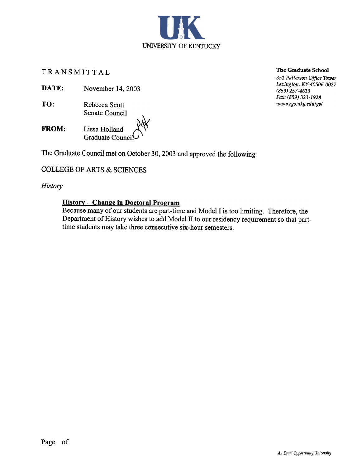TRANSMITTAL

DATE: November 14, 2003

- TO: Rebecca Scott Senate Council
- FROM: Lissa Holland Graduate Counci

The Graduate Council met on October 30, 2003 and approved the following:

# COLLEGE OF ARTS & SCIENCES

## **History**

### History - Change in Doctoral Program

Because many of our students are part-time and Model I is too limiting. Therefore, the Department of History wishes to add Model II to our residency requirement so that parttime students may take three consecutive six-hour semesters.

The Graduate School

351 Patterson Office Tower Lexington, KY 40506-0027 (859) 257-4613 Fax: (859) 323-1928 www.rgs.uky.edu/gs/

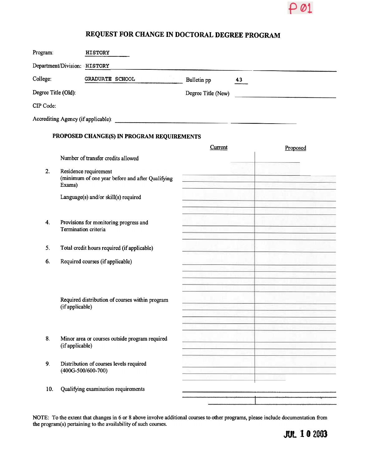

# REQUEST FOR CHANGE IN DOCTORAL DEGREE PROGRAM

| College:<br>Degree Title (Old): |                                        | GRADUATE SCHOOL                                                                                                                                                                                    | Bulletin pp<br>Degree Title (New) | 43 |                                                                                                                                                                                                                                      |
|---------------------------------|----------------------------------------|----------------------------------------------------------------------------------------------------------------------------------------------------------------------------------------------------|-----------------------------------|----|--------------------------------------------------------------------------------------------------------------------------------------------------------------------------------------------------------------------------------------|
| CIP Code:                       |                                        |                                                                                                                                                                                                    |                                   |    |                                                                                                                                                                                                                                      |
|                                 |                                        |                                                                                                                                                                                                    |                                   |    |                                                                                                                                                                                                                                      |
|                                 |                                        |                                                                                                                                                                                                    |                                   |    |                                                                                                                                                                                                                                      |
|                                 |                                        | PROPOSED CHANGE(S) IN PROGRAM REQUIREMENTS                                                                                                                                                         | Current                           |    | Proposed                                                                                                                                                                                                                             |
|                                 |                                        | Number of transfer credits allowed                                                                                                                                                                 |                                   |    |                                                                                                                                                                                                                                      |
| 2.                              | Residence requirement                  |                                                                                                                                                                                                    |                                   |    |                                                                                                                                                                                                                                      |
|                                 | Exams)                                 | (minimum of one year before and after Qualifying                                                                                                                                                   |                                   |    | <u>re de les construits de la construit de la construit de la construit de la construit de la construit de la con</u><br>a change of the company                                                                                     |
|                                 |                                        | Language(s) and/or skill(s) required                                                                                                                                                               |                                   |    | <u> District Company and the property of the second property of the second property of the second property of the second property of the second property of the second property of the second property of the second property of</u> |
|                                 |                                        |                                                                                                                                                                                                    |                                   |    |                                                                                                                                                                                                                                      |
| 4.                              | Provisions for monitoring progress and |                                                                                                                                                                                                    | <u> De Barbara (Barbara)</u>      |    | <u> Antonio Alemania (Antonio Antonio </u>                                                                                                                                                                                           |
|                                 | Termination criteria                   |                                                                                                                                                                                                    |                                   |    | ___________                                                                                                                                                                                                                          |
| 5.                              |                                        | Total credit hours required (if applicable)                                                                                                                                                        |                                   |    | states and the control of the control of                                                                                                                                                                                             |
| 6.                              |                                        | Required courses (if applicable)                                                                                                                                                                   |                                   |    | <u> 1990 – Samuel Barbara, Amerikaansk politiker (</u>                                                                                                                                                                               |
|                                 |                                        |                                                                                                                                                                                                    |                                   |    | <u> 1989 - Alexandr Store et al.</u><br><u>spectrum in each formal companies and</u>                                                                                                                                                 |
|                                 |                                        |                                                                                                                                                                                                    |                                   |    | <u> Harry Holland (Maria Barata)</u>                                                                                                                                                                                                 |
|                                 |                                        | Required distribution of courses within program                                                                                                                                                    | _________________                 |    | <u> a literatura de ser</u>                                                                                                                                                                                                          |
|                                 | (if applicable)                        |                                                                                                                                                                                                    |                                   |    |                                                                                                                                                                                                                                      |
|                                 |                                        |                                                                                                                                                                                                    |                                   |    |                                                                                                                                                                                                                                      |
| 8.                              | (if applicable)                        | Minor area or courses outside program required                                                                                                                                                     |                                   |    |                                                                                                                                                                                                                                      |
|                                 |                                        |                                                                                                                                                                                                    |                                   |    |                                                                                                                                                                                                                                      |
| 9.                              | $(400G-500/600-700)$                   | Distribution of courses levels required                                                                                                                                                            |                                   |    |                                                                                                                                                                                                                                      |
|                                 |                                        |                                                                                                                                                                                                    |                                   |    |                                                                                                                                                                                                                                      |
| 10.                             |                                        | Qualifying examination requirements                                                                                                                                                                |                                   |    | ر المعروف المستقلة المستقلة المستقلة المستقلة المستقلة المستقلة المستقلة المستقلة المستقلة المستقلة المستقلة ا                                                                                                                       |
|                                 |                                        |                                                                                                                                                                                                    |                                   |    |                                                                                                                                                                                                                                      |
|                                 |                                        | NOTE: To the extent that changes in 6 or 8 above involve additional courses to other programs, please include documentation from<br>the program(s) pertaining to the availability of such courses. |                                   |    |                                                                                                                                                                                                                                      |
|                                 |                                        |                                                                                                                                                                                                    |                                   |    | <b>JUL 10 2003</b>                                                                                                                                                                                                                   |